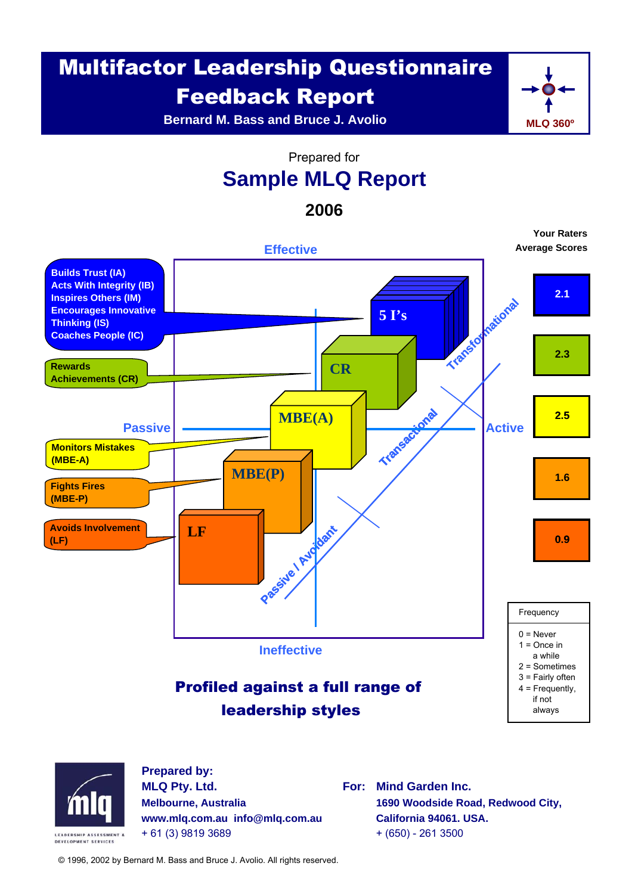# Multifactor Leadership Questionnaire Feedback Report

**Bernard M. Bass and Bruce J. Avolio**



**Your Raters**

Prepared for

## **Sample MLQ Report**

**2006**



**www.mlq.com.au info@mlq.com.au California 94061. USA.**  + 61 (3) 9819 3689 + (650) - 261 3500

© 1996, 2002 by Bernard M. Bass and Bruce J. Avolio. All rights reserved.

**LEADERSHIP ASSESSMENT &** DEVELOPMENT SERVICES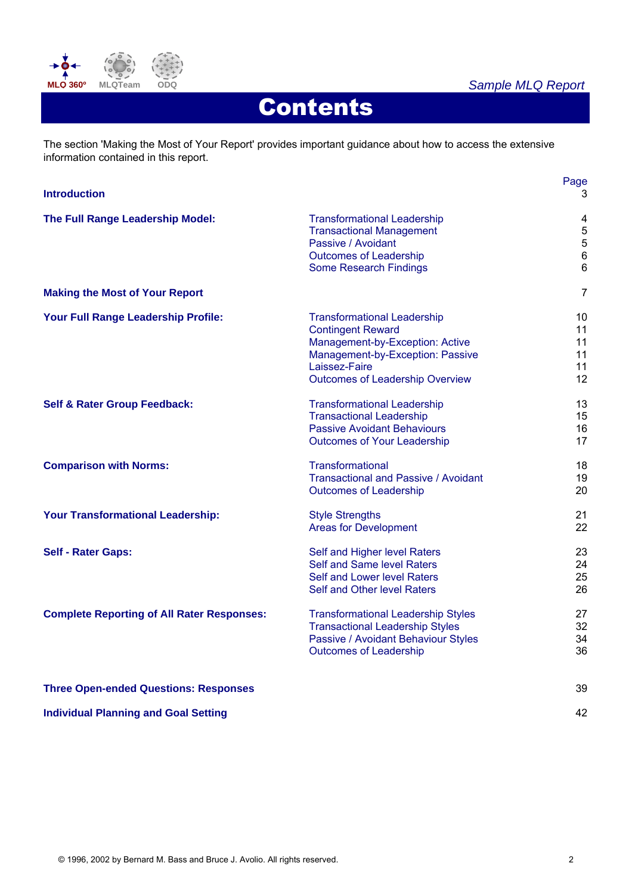

### *Sample MLQ Report*

Page

# **Contents**

The section 'Making the Most of Your Report' provides important guidance about how to access the extensive information contained in this report.

| <b>Introduction</b>                               |                                                                                                                                                                                                  | 3                                                                                |
|---------------------------------------------------|--------------------------------------------------------------------------------------------------------------------------------------------------------------------------------------------------|----------------------------------------------------------------------------------|
| The Full Range Leadership Model:                  | <b>Transformational Leadership</b><br><b>Transactional Management</b><br>Passive / Avoidant<br><b>Outcomes of Leadership</b><br><b>Some Research Findings</b>                                    | $\overline{\mathbf{4}}$<br>$\mathbf 5$<br>$\mathbf 5$<br>$\,6$<br>$6\phantom{a}$ |
| <b>Making the Most of Your Report</b>             |                                                                                                                                                                                                  | $\overline{7}$                                                                   |
| Your Full Range Leadership Profile:               | <b>Transformational Leadership</b><br><b>Contingent Reward</b><br>Management-by-Exception: Active<br>Management-by-Exception: Passive<br>Laissez-Faire<br><b>Outcomes of Leadership Overview</b> | 10<br>11<br>11<br>11<br>11<br>12                                                 |
| <b>Self &amp; Rater Group Feedback:</b>           | <b>Transformational Leadership</b><br><b>Transactional Leadership</b><br><b>Passive Avoidant Behaviours</b><br><b>Outcomes of Your Leadership</b>                                                | 13<br>15<br>16<br>17                                                             |
| <b>Comparison with Norms:</b>                     | Transformational<br><b>Transactional and Passive / Avoidant</b><br><b>Outcomes of Leadership</b>                                                                                                 | 18<br>19<br>20                                                                   |
| <b>Your Transformational Leadership:</b>          | <b>Style Strengths</b><br><b>Areas for Development</b>                                                                                                                                           | 21<br>22                                                                         |
| <b>Self - Rater Gaps:</b>                         | Self and Higher level Raters<br>Self and Same level Raters<br>Self and Lower level Raters<br>Self and Other level Raters                                                                         | 23<br>24<br>25<br>26                                                             |
| <b>Complete Reporting of All Rater Responses:</b> | <b>Transformational Leadership Styles</b><br><b>Transactional Leadership Styles</b><br>Passive / Avoidant Behaviour Styles<br><b>Outcomes of Leadership</b>                                      | 27<br>32<br>34<br>36                                                             |
| <b>Three Open-ended Questions: Responses</b>      |                                                                                                                                                                                                  | 39                                                                               |
| <b>Individual Planning and Goal Setting</b>       |                                                                                                                                                                                                  | 42                                                                               |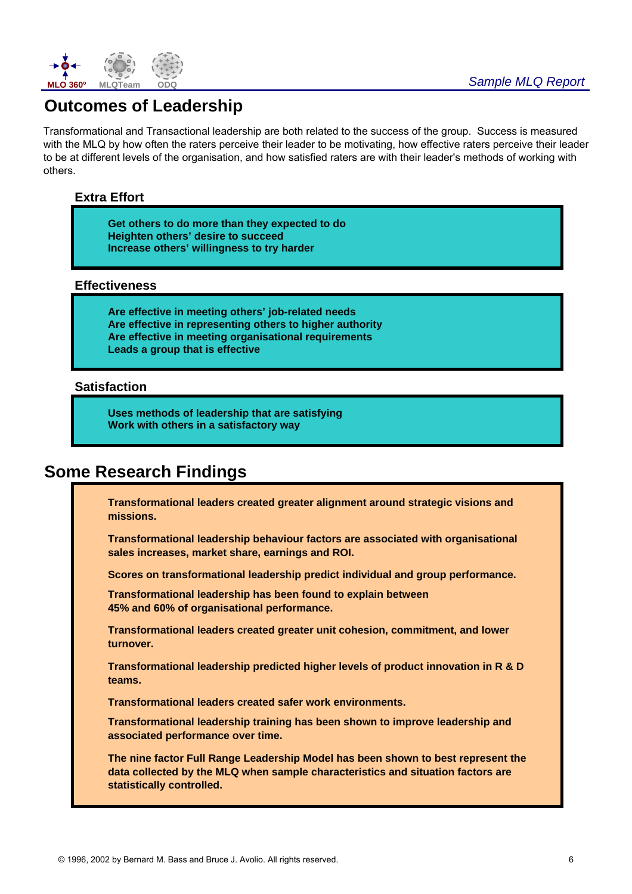

## **Outcomes of Leadership**

Transformational and Transactional leadership are both related to the success of the group. Success is measured with the MLQ by how often the raters perceive their leader to be motivating, how effective raters perceive their leader to be at different levels of the organisation, and how satisfied raters are with their leader's methods of working with others.

#### **Extra Effort**

**Get others to do more than they expected to do Heighten others' desire to succeed Increase others' willingness to try harder**

#### **Effectiveness**

**Are effective in meeting others' job-related needs Are effective in representing others to higher authority Are effective in meeting organisational requirements Leads a group that is effective**

#### **Satisfaction**

**Uses methods of leadership that are satisfying Work with others in a satisfactory way**

## **Some Research Findings**

**Transformational leaders created greater alignment around strategic visions and missions.**

**Transformational leadership behaviour factors are associated with organisational sales increases, market share, earnings and ROI.** 

**Scores on transformational leadership predict individual and group performance.** 

**Transformational leadership has been found to explain between 45% and 60% of organisational performance.** 

**Transformational leaders created greater unit cohesion, commitment, and lower turnover.**

**Transformational leadership predicted higher levels of product innovation in R & D teams.**

**Transformational leaders created safer work environments.**

**Transformational leadership training has been shown to improve leadership and associated performance over time.**

**The nine factor Full Range Leadership Model has been shown to best represent the data collected by the MLQ when sample characteristics and situation factors are statistically controlled.**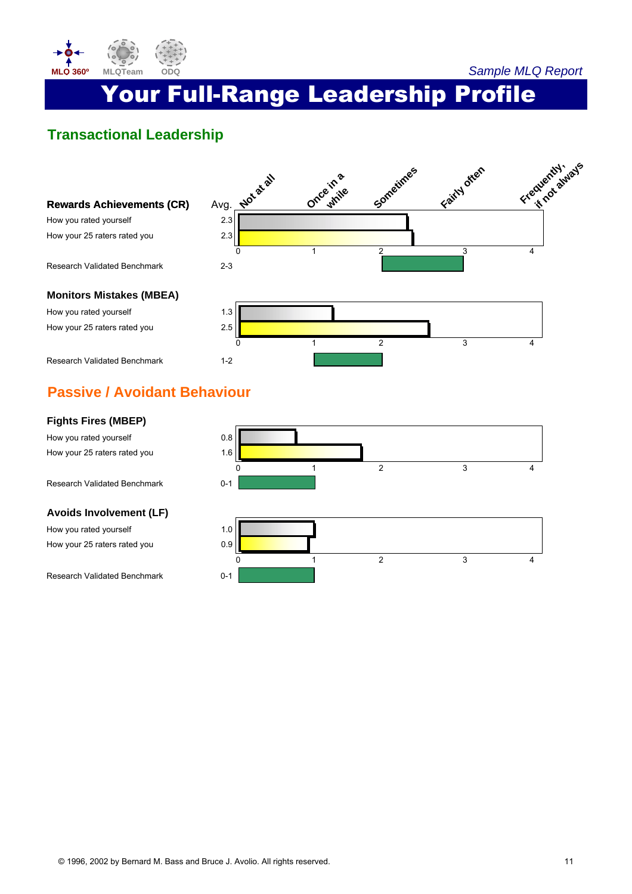

# Your Full-Range Leadership Profile

## **Transactional Leadership**



## **Passive / Avoidant Behaviour**

#### **Fights Fires (MBEP)**

How you rated yourself example to the 0.8 How your 25 raters rated you 1.6

Research Validated Benchmark 0-1

#### **Avoids Involvement (LF)**

How you rated yourself and the 1.0 How your 25 raters rated you 0.9

Research Validated Benchmark 0-1



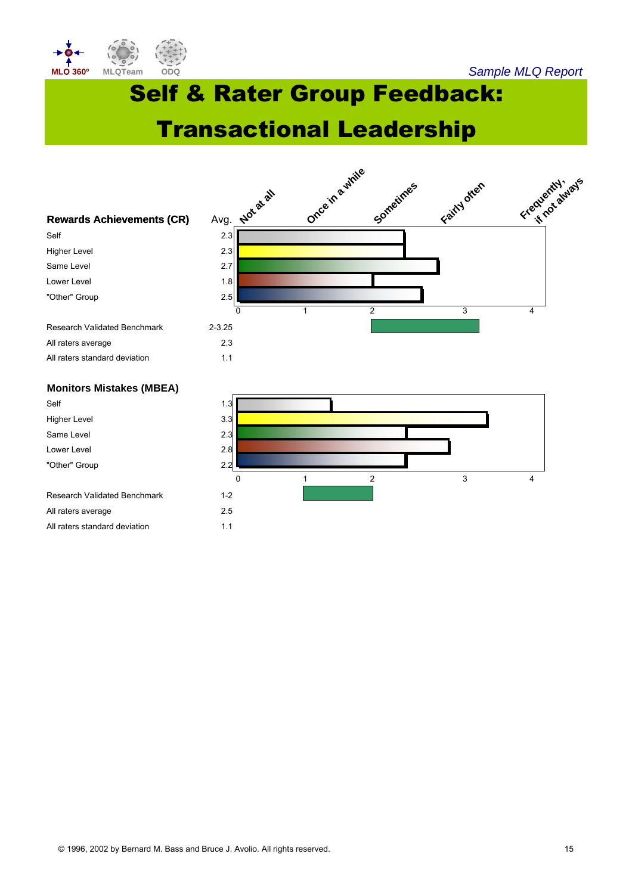

Self & Rater Group Feedback:

Transactional Leadership



Research Validated Benchmark 1-2 All raters average 2.5 All raters standard deviation 1.1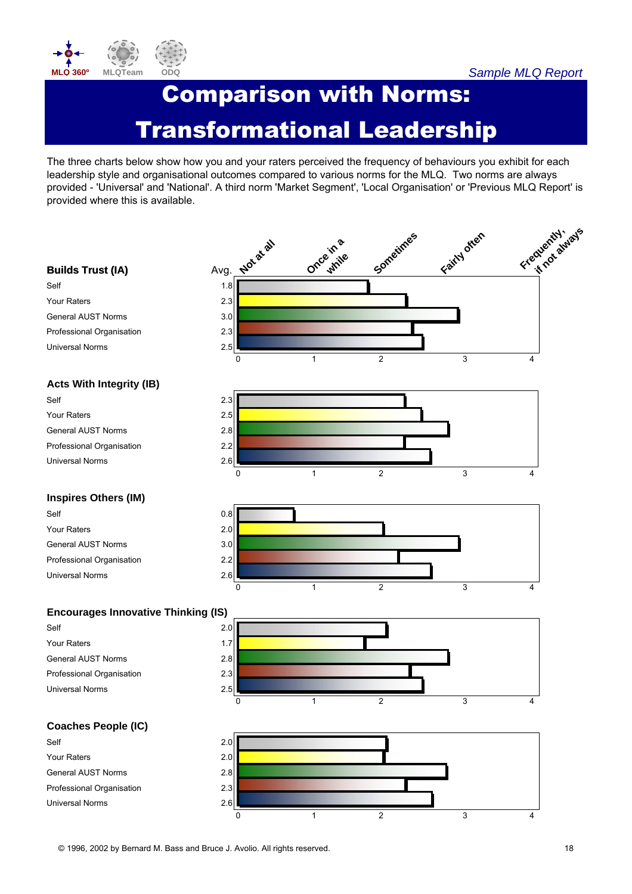

# Comparison with Norms: Transformational Leadership

The three charts below show how you and your raters perceived the frequency of behaviours you exhibit for each leadership style and organisational outcomes compared to various norms for the MLQ. Two norms are always provided - 'Universal' and 'National'. A third norm 'Market Segment', 'Local Organisation' or 'Previous MLQ Report' is provided where this is available.



© 1996, 2002 by Bernard M. Bass and Bruce J. Avolio. All rights reserved. 18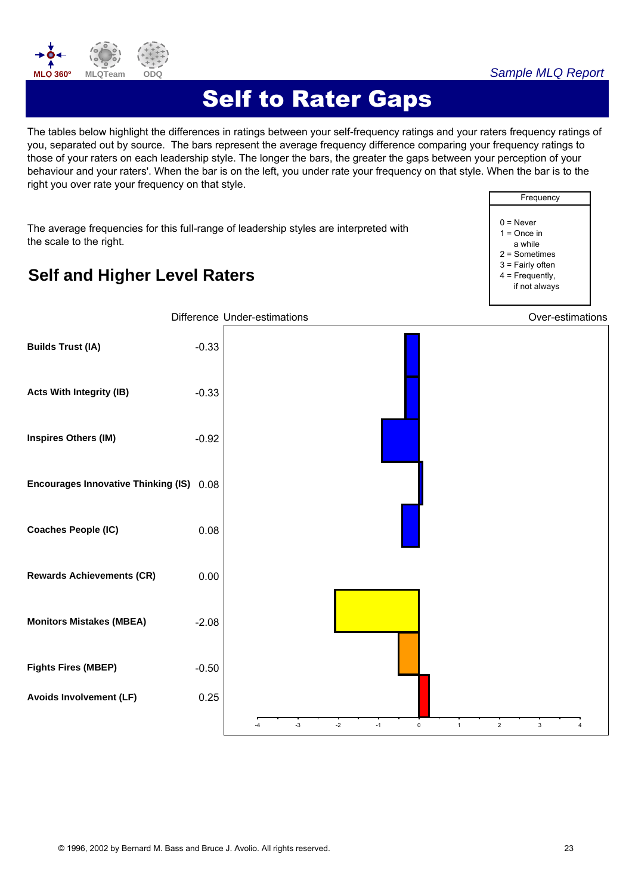

# Self to Rater Gaps

The tables below highlight the differences in ratings between your self-frequency ratings and your raters frequency ratings of you, separated out by source. The bars represent the average frequency difference comparing your frequency ratings to those of your raters on each leadership style. The longer the bars, the greater the gaps between your perception of your behaviour and your raters'. When the bar is on the left, you under rate your frequency on that style. When the bar is to the right you over rate your frequency on that style.

The average frequencies for this full-range of leadership styles are interpreted with the scale to the right.



## **Self and Higher Level Raters**